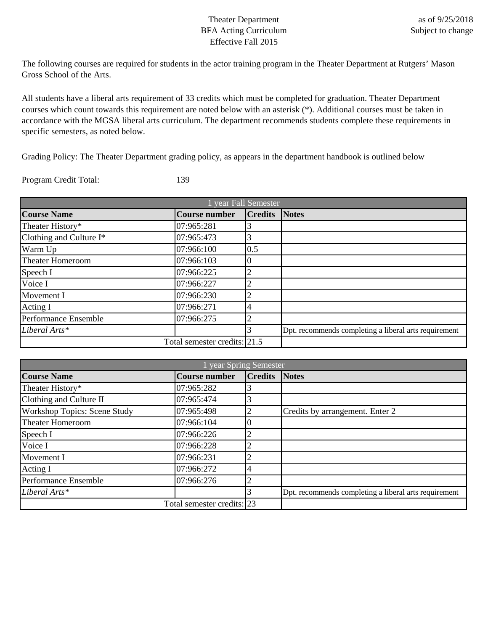## Theater Department BFA Acting Curriculum Effective Fall 2015

The following courses are required for students in the actor training program in the Theater Department at Rutgers' Mason Gross School of the Arts.

All students have a liberal arts requirement of 33 credits which must be completed for graduation. Theater Department courses which count towards this requirement are noted below with an asterisk (\*). Additional courses must be taken in accordance with the MGSA liberal arts curriculum. The department recommends students complete these requirements in specific semesters, as noted below.

Grading Policy: The Theater Department grading policy, as appears in the department handbook is outlined below

Program Credit Total: 139

| l year Fall Semester    |                              |                |                                                       |
|-------------------------|------------------------------|----------------|-------------------------------------------------------|
| <b>Course Name</b>      | Course number                | <b>Credits</b> | <b>Notes</b>                                          |
| Theater History*        | 07:965:281                   |                |                                                       |
| Clothing and Culture I* | 07:965:473                   |                |                                                       |
| Warm Up                 | 07:966:100                   | 0.5            |                                                       |
| Theater Homeroom        | 07:966:103                   |                |                                                       |
| Speech I                | 07:966:225                   |                |                                                       |
| Voice I                 | 07:966:227                   |                |                                                       |
| Movement I              | 07:966:230                   |                |                                                       |
| Acting I                | 07:966:271                   |                |                                                       |
| Performance Ensemble    | 07:966:275                   |                |                                                       |
| Liberal Arts*           |                              |                | Dpt. recommends completing a liberal arts requirement |
|                         | Total semester credits: 21.5 |                |                                                       |

| l year Spring Semester              |                      |                |                                                       |
|-------------------------------------|----------------------|----------------|-------------------------------------------------------|
| <b>Course Name</b>                  | <b>Course number</b> | <b>Credits</b> | <b>Notes</b>                                          |
| Theater History*                    | 07:965:282           |                |                                                       |
| Clothing and Culture II             | 07:965:474           |                |                                                       |
| <b>Workshop Topics: Scene Study</b> | 07:965:498           |                | Credits by arrangement. Enter 2                       |
| <b>Theater Homeroom</b>             | 07:966:104           |                |                                                       |
| Speech I                            | 07:966:226           |                |                                                       |
| Voice I                             | 07:966:228           |                |                                                       |
| Movement I                          | 07:966:231           |                |                                                       |
| Acting I                            | 07:966:272           |                |                                                       |
| Performance Ensemble                | 07:966:276           |                |                                                       |
| Liberal $Arts*$                     |                      |                | Dpt. recommends completing a liberal arts requirement |
| Total semester credits: 23          |                      |                |                                                       |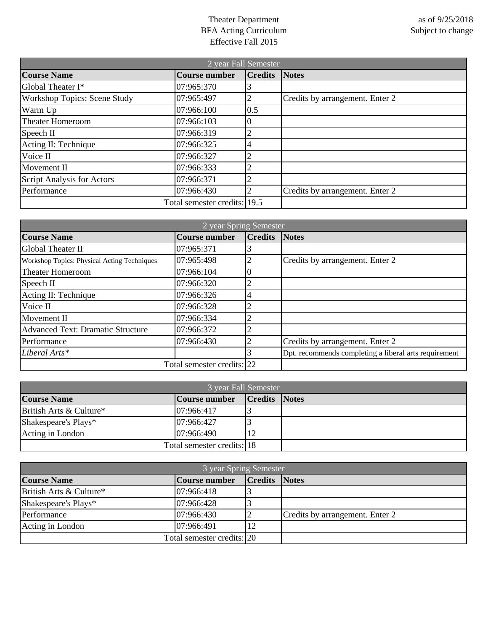## Theater Department BFA Acting Curriculum Effective Fall 2015

| 2 year Fall Semester                |                      |                |                                 |
|-------------------------------------|----------------------|----------------|---------------------------------|
| <b>Course Name</b>                  | <b>Course number</b> | <b>Credits</b> | <b>Notes</b>                    |
| Global Theater I*                   | 07:965:370           |                |                                 |
| <b>Workshop Topics: Scene Study</b> | 07:965:497           |                | Credits by arrangement. Enter 2 |
| Warm Up                             | 07:966:100           | 0.5            |                                 |
| <b>Theater Homeroom</b>             | 07:966:103           |                |                                 |
| Speech II                           | 07:966:319           |                |                                 |
| Acting II: Technique                | 07:966:325           |                |                                 |
| Voice II                            | 07:966:327           |                |                                 |
| Movement II                         | 07:966:333           | '2             |                                 |
| Script Analysis for Actors          | 07:966:371           | $\sqrt{2}$     |                                 |
| Performance                         | 07:966:430           |                | Credits by arrangement. Enter 2 |
| Total semester credits: 19.5        |                      |                |                                 |

| 2 year Spring Semester                      |                      |                |                                                       |
|---------------------------------------------|----------------------|----------------|-------------------------------------------------------|
| <b>Course Name</b>                          | <b>Course number</b> | <b>Credits</b> | <b>Notes</b>                                          |
| Global Theater II                           | 07:965:371           |                |                                                       |
| Workshop Topics: Physical Acting Techniques | 07:965:498           |                | Credits by arrangement. Enter 2                       |
| <b>Theater Homeroom</b>                     | 07:966:104           |                |                                                       |
| Speech II                                   | 07:966:320           |                |                                                       |
| Acting II: Technique                        | 07:966:326           |                |                                                       |
| Voice II                                    | 07:966:328           |                |                                                       |
| Movement II                                 | 07:966:334           |                |                                                       |
| <b>Advanced Text: Dramatic Structure</b>    | 07:966:372           |                |                                                       |
| Performance                                 | 07:966:430           |                | Credits by arrangement. Enter 2                       |
| Liberal Arts*                               |                      |                | Dpt. recommends completing a liberal arts requirement |
| Total semester credits: 22                  |                      |                |                                                       |

| 3 year Fall Semester       |               |                      |  |
|----------------------------|---------------|----------------------|--|
| <b>Course Name</b>         | Course number | <b>Credits Notes</b> |  |
| British Arts & Culture*    | 07:966:417    |                      |  |
| Shakespeare's Plays*       | 07:966:427    |                      |  |
| Acting in London           | 07:966:490    |                      |  |
| Total semester credits: 18 |               |                      |  |

| 3 year Spring Semester     |               |                      |                                 |  |
|----------------------------|---------------|----------------------|---------------------------------|--|
| <b>Course Name</b>         | Course number | <b>Credits</b> Notes |                                 |  |
| British Arts & Culture*    | 07:966:418    |                      |                                 |  |
| Shakespeare's Plays*       | 07:966:428    |                      |                                 |  |
| Performance                | 07:966:430    |                      | Credits by arrangement. Enter 2 |  |
| Acting in London           | 07:966:491    | 12                   |                                 |  |
| Total semester credits: 20 |               |                      |                                 |  |